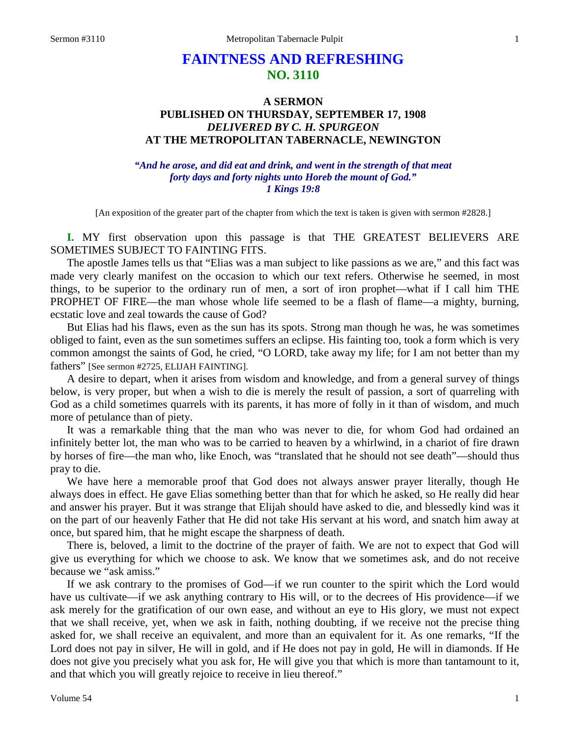# **FAINTNESS AND REFRESHING NO. 3110**

# **A SERMON PUBLISHED ON THURSDAY, SEPTEMBER 17, 1908** *DELIVERED BY C. H. SPURGEON* **AT THE METROPOLITAN TABERNACLE, NEWINGTON**

### *"And he arose, and did eat and drink, and went in the strength of that meat forty days and forty nights unto Horeb the mount of God." 1 Kings 19:8*

[An exposition of the greater part of the chapter from which the text is taken is given with sermon #2828.]

**I.** MY first observation upon this passage is that THE GREATEST BELIEVERS ARE SOMETIMES SUBJECT TO FAINTING FITS.

The apostle James tells us that "Elias was a man subject to like passions as we are," and this fact was made very clearly manifest on the occasion to which our text refers. Otherwise he seemed, in most things, to be superior to the ordinary run of men, a sort of iron prophet—what if I call him THE PROPHET OF FIRE—the man whose whole life seemed to be a flash of flame—a mighty, burning, ecstatic love and zeal towards the cause of God?

But Elias had his flaws, even as the sun has its spots. Strong man though he was, he was sometimes obliged to faint, even as the sun sometimes suffers an eclipse. His fainting too, took a form which is very common amongst the saints of God, he cried, "O LORD, take away my life; for I am not better than my fathers" [See sermon #2725, ELIJAH FAINTING].

A desire to depart, when it arises from wisdom and knowledge, and from a general survey of things below, is very proper, but when a wish to die is merely the result of passion, a sort of quarreling with God as a child sometimes quarrels with its parents, it has more of folly in it than of wisdom, and much more of petulance than of piety.

It was a remarkable thing that the man who was never to die, for whom God had ordained an infinitely better lot, the man who was to be carried to heaven by a whirlwind, in a chariot of fire drawn by horses of fire—the man who, like Enoch, was "translated that he should not see death"—should thus pray to die.

We have here a memorable proof that God does not always answer prayer literally, though He always does in effect. He gave Elias something better than that for which he asked, so He really did hear and answer his prayer. But it was strange that Elijah should have asked to die, and blessedly kind was it on the part of our heavenly Father that He did not take His servant at his word, and snatch him away at once, but spared him, that he might escape the sharpness of death.

There is, beloved, a limit to the doctrine of the prayer of faith. We are not to expect that God will give us everything for which we choose to ask. We know that we sometimes ask, and do not receive because we "ask amiss."

If we ask contrary to the promises of God—if we run counter to the spirit which the Lord would have us cultivate—if we ask anything contrary to His will, or to the decrees of His providence—if we ask merely for the gratification of our own ease, and without an eye to His glory, we must not expect that we shall receive, yet, when we ask in faith, nothing doubting, if we receive not the precise thing asked for, we shall receive an equivalent, and more than an equivalent for it. As one remarks, "If the Lord does not pay in silver, He will in gold, and if He does not pay in gold, He will in diamonds. If He does not give you precisely what you ask for, He will give you that which is more than tantamount to it, and that which you will greatly rejoice to receive in lieu thereof."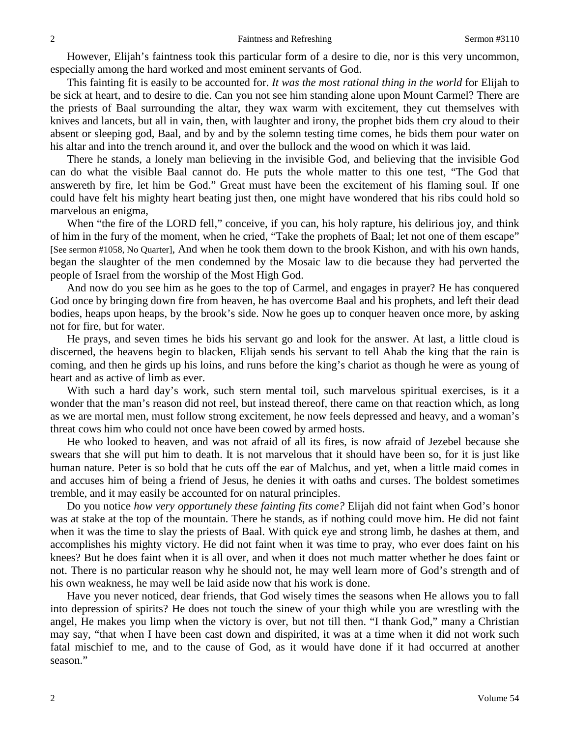However, Elijah's faintness took this particular form of a desire to die, nor is this very uncommon, especially among the hard worked and most eminent servants of God.

This fainting fit is easily to be accounted for. *It was the most rational thing in the world* for Elijah to be sick at heart, and to desire to die. Can you not see him standing alone upon Mount Carmel? There are the priests of Baal surrounding the altar, they wax warm with excitement, they cut themselves with knives and lancets, but all in vain, then, with laughter and irony, the prophet bids them cry aloud to their absent or sleeping god, Baal, and by and by the solemn testing time comes, he bids them pour water on his altar and into the trench around it, and over the bullock and the wood on which it was laid.

There he stands, a lonely man believing in the invisible God, and believing that the invisible God can do what the visible Baal cannot do. He puts the whole matter to this one test, "The God that answereth by fire, let him be God." Great must have been the excitement of his flaming soul. If one could have felt his mighty heart beating just then, one might have wondered that his ribs could hold so marvelous an enigma,

When "the fire of the LORD fell," conceive, if you can, his holy rapture, his delirious joy, and think of him in the fury of the moment, when he cried, "Take the prophets of Baal; let not one of them escape" [See sermon #1058, No Quarter], And when he took them down to the brook Kishon, and with his own hands, began the slaughter of the men condemned by the Mosaic law to die because they had perverted the people of Israel from the worship of the Most High God.

And now do you see him as he goes to the top of Carmel, and engages in prayer? He has conquered God once by bringing down fire from heaven, he has overcome Baal and his prophets, and left their dead bodies, heaps upon heaps, by the brook's side. Now he goes up to conquer heaven once more, by asking not for fire, but for water.

He prays, and seven times he bids his servant go and look for the answer. At last, a little cloud is discerned, the heavens begin to blacken, Elijah sends his servant to tell Ahab the king that the rain is coming, and then he girds up his loins, and runs before the king's chariot as though he were as young of heart and as active of limb as ever.

With such a hard day's work, such stern mental toil, such marvelous spiritual exercises, is it a wonder that the man's reason did not reel, but instead thereof, there came on that reaction which, as long as we are mortal men, must follow strong excitement, he now feels depressed and heavy, and a woman's threat cows him who could not once have been cowed by armed hosts.

He who looked to heaven, and was not afraid of all its fires, is now afraid of Jezebel because she swears that she will put him to death. It is not marvelous that it should have been so, for it is just like human nature. Peter is so bold that he cuts off the ear of Malchus, and yet, when a little maid comes in and accuses him of being a friend of Jesus, he denies it with oaths and curses. The boldest sometimes tremble, and it may easily be accounted for on natural principles.

Do you notice *how very opportunely these fainting fits come?* Elijah did not faint when God's honor was at stake at the top of the mountain. There he stands, as if nothing could move him. He did not faint when it was the time to slay the priests of Baal. With quick eye and strong limb, he dashes at them, and accomplishes his mighty victory. He did not faint when it was time to pray, who ever does faint on his knees? But he does faint when it is all over, and when it does not much matter whether he does faint or not. There is no particular reason why he should not, he may well learn more of God's strength and of his own weakness, he may well be laid aside now that his work is done.

Have you never noticed, dear friends, that God wisely times the seasons when He allows you to fall into depression of spirits? He does not touch the sinew of your thigh while you are wrestling with the angel, He makes you limp when the victory is over, but not till then. "I thank God," many a Christian may say, "that when I have been cast down and dispirited, it was at a time when it did not work such fatal mischief to me, and to the cause of God, as it would have done if it had occurred at another season."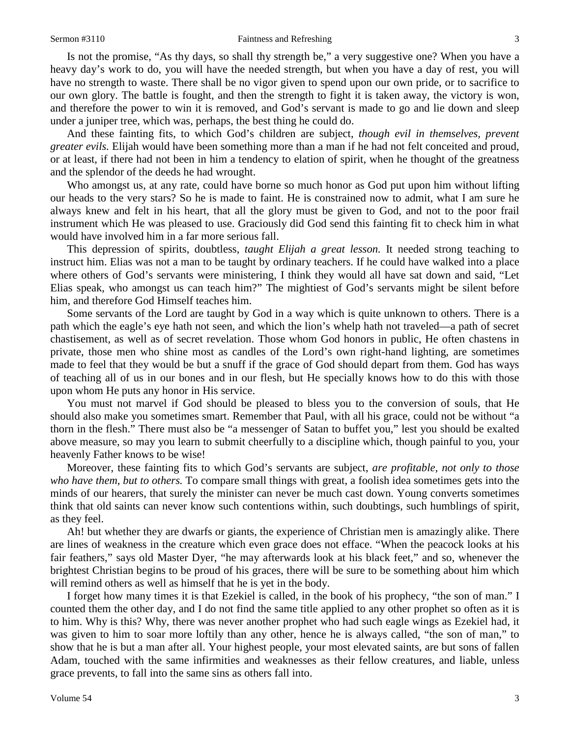#### Sermon #3110 **Faintness and Refreshing** 3

Is not the promise, "As thy days, so shall thy strength be," a very suggestive one? When you have a heavy day's work to do, you will have the needed strength, but when you have a day of rest, you will have no strength to waste. There shall be no vigor given to spend upon our own pride, or to sacrifice to our own glory. The battle is fought, and then the strength to fight it is taken away, the victory is won, and therefore the power to win it is removed, and God's servant is made to go and lie down and sleep under a juniper tree, which was, perhaps, the best thing he could do.

And these fainting fits, to which God's children are subject, *though evil in themselves, prevent greater evils.* Elijah would have been something more than a man if he had not felt conceited and proud, or at least, if there had not been in him a tendency to elation of spirit, when he thought of the greatness and the splendor of the deeds he had wrought.

Who amongst us, at any rate, could have borne so much honor as God put upon him without lifting our heads to the very stars? So he is made to faint. He is constrained now to admit, what I am sure he always knew and felt in his heart, that all the glory must be given to God, and not to the poor frail instrument which He was pleased to use. Graciously did God send this fainting fit to check him in what would have involved him in a far more serious fall.

This depression of spirits, doubtless, *taught Elijah a great lesson.* It needed strong teaching to instruct him. Elias was not a man to be taught by ordinary teachers. If he could have walked into a place where others of God's servants were ministering, I think they would all have sat down and said, "Let Elias speak, who amongst us can teach him?" The mightiest of God's servants might be silent before him, and therefore God Himself teaches him.

Some servants of the Lord are taught by God in a way which is quite unknown to others. There is a path which the eagle's eye hath not seen, and which the lion's whelp hath not traveled—a path of secret chastisement, as well as of secret revelation. Those whom God honors in public, He often chastens in private, those men who shine most as candles of the Lord's own right-hand lighting, are sometimes made to feel that they would be but a snuff if the grace of God should depart from them. God has ways of teaching all of us in our bones and in our flesh, but He specially knows how to do this with those upon whom He puts any honor in His service.

You must not marvel if God should be pleased to bless you to the conversion of souls, that He should also make you sometimes smart. Remember that Paul, with all his grace, could not be without "a thorn in the flesh." There must also be "a messenger of Satan to buffet you," lest you should be exalted above measure, so may you learn to submit cheerfully to a discipline which, though painful to you, your heavenly Father knows to be wise!

Moreover, these fainting fits to which God's servants are subject, *are profitable, not only to those who have them, but to others.* To compare small things with great, a foolish idea sometimes gets into the minds of our hearers, that surely the minister can never be much cast down. Young converts sometimes think that old saints can never know such contentions within, such doubtings, such humblings of spirit, as they feel.

Ah! but whether they are dwarfs or giants, the experience of Christian men is amazingly alike. There are lines of weakness in the creature which even grace does not efface. "When the peacock looks at his fair feathers," says old Master Dyer, "he may afterwards look at his black feet," and so, whenever the brightest Christian begins to be proud of his graces, there will be sure to be something about him which will remind others as well as himself that he is yet in the body.

I forget how many times it is that Ezekiel is called, in the book of his prophecy, "the son of man." I counted them the other day, and I do not find the same title applied to any other prophet so often as it is to him. Why is this? Why, there was never another prophet who had such eagle wings as Ezekiel had, it was given to him to soar more loftily than any other, hence he is always called, "the son of man," to show that he is but a man after all. Your highest people, your most elevated saints, are but sons of fallen Adam, touched with the same infirmities and weaknesses as their fellow creatures, and liable, unless grace prevents, to fall into the same sins as others fall into.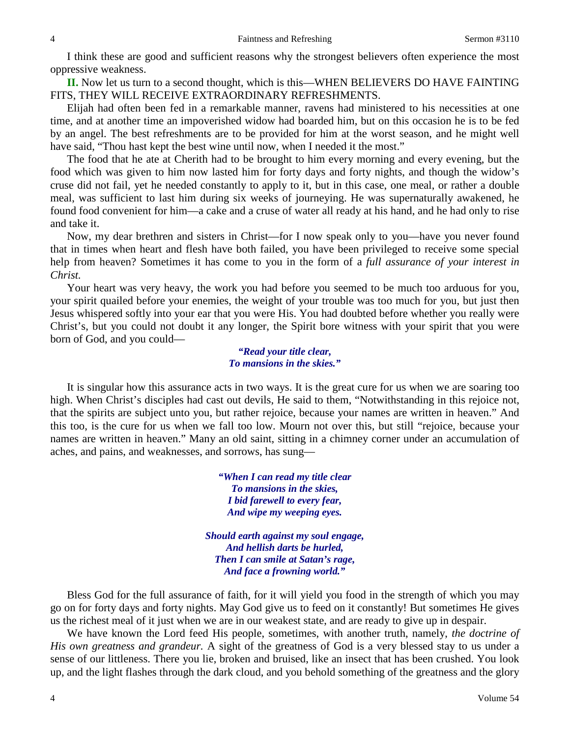I think these are good and sufficient reasons why the strongest believers often experience the most oppressive weakness.

**II.** Now let us turn to a second thought, which is this—WHEN BELIEVERS DO HAVE FAINTING FITS, THEY WILL RECEIVE EXTRAORDINARY REFRESHMENTS.

Elijah had often been fed in a remarkable manner, ravens had ministered to his necessities at one time, and at another time an impoverished widow had boarded him, but on this occasion he is to be fed by an angel. The best refreshments are to be provided for him at the worst season, and he might well have said, "Thou hast kept the best wine until now, when I needed it the most."

The food that he ate at Cherith had to be brought to him every morning and every evening, but the food which was given to him now lasted him for forty days and forty nights, and though the widow's cruse did not fail, yet he needed constantly to apply to it, but in this case, one meal, or rather a double meal, was sufficient to last him during six weeks of journeying. He was supernaturally awakened, he found food convenient for him—a cake and a cruse of water all ready at his hand, and he had only to rise and take it.

Now, my dear brethren and sisters in Christ—for I now speak only to you—have you never found that in times when heart and flesh have both failed, you have been privileged to receive some special help from heaven? Sometimes it has come to you in the form of a *full assurance of your interest in Christ.* 

Your heart was very heavy, the work you had before you seemed to be much too arduous for you, your spirit quailed before your enemies, the weight of your trouble was too much for you, but just then Jesus whispered softly into your ear that you were His. You had doubted before whether you really were Christ's, but you could not doubt it any longer, the Spirit bore witness with your spirit that you were born of God, and you could—

> *"Read your title clear, To mansions in the skies."*

It is singular how this assurance acts in two ways. It is the great cure for us when we are soaring too high. When Christ's disciples had cast out devils, He said to them, "Notwithstanding in this rejoice not, that the spirits are subject unto you, but rather rejoice, because your names are written in heaven." And this too, is the cure for us when we fall too low. Mourn not over this, but still "rejoice, because your names are written in heaven." Many an old saint, sitting in a chimney corner under an accumulation of aches, and pains, and weaknesses, and sorrows, has sung—

> *"When I can read my title clear To mansions in the skies, I bid farewell to every fear, And wipe my weeping eyes.*

*Should earth against my soul engage, And hellish darts be hurled, Then I can smile at Satan's rage, And face a frowning world."*

Bless God for the full assurance of faith, for it will yield you food in the strength of which you may go on for forty days and forty nights. May God give us to feed on it constantly! But sometimes He gives us the richest meal of it just when we are in our weakest state, and are ready to give up in despair.

We have known the Lord feed His people, sometimes, with another truth, namely, *the doctrine of His own greatness and grandeur.* A sight of the greatness of God is a very blessed stay to us under a sense of our littleness. There you lie, broken and bruised, like an insect that has been crushed. You look up, and the light flashes through the dark cloud, and you behold something of the greatness and the glory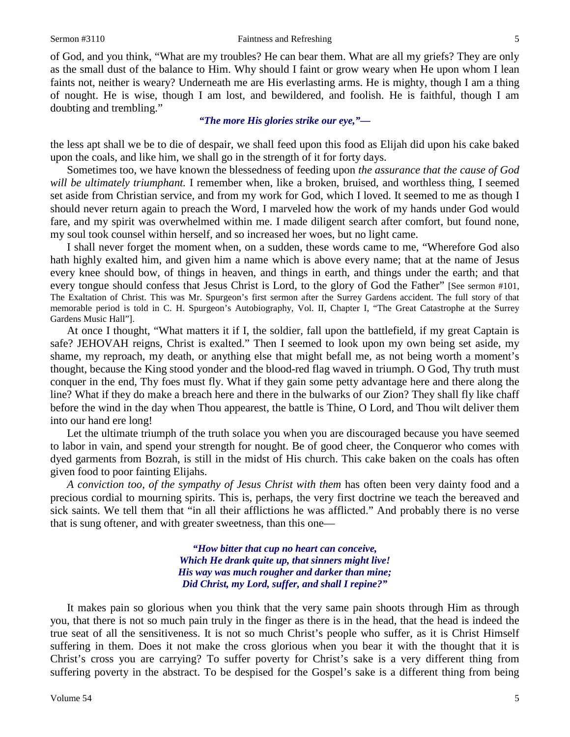of God, and you think, "What are my troubles? He can bear them. What are all my griefs? They are only as the small dust of the balance to Him. Why should I faint or grow weary when He upon whom I lean faints not, neither is weary? Underneath me are His everlasting arms. He is mighty, though I am a thing of nought. He is wise, though I am lost, and bewildered, and foolish. He is faithful, though I am doubting and trembling."

# *"The more His glories strike our eye,"—*

the less apt shall we be to die of despair, we shall feed upon this food as Elijah did upon his cake baked upon the coals, and like him, we shall go in the strength of it for forty days.

Sometimes too, we have known the blessedness of feeding upon *the assurance that the cause of God will be ultimately triumphant.* I remember when, like a broken, bruised, and worthless thing, I seemed set aside from Christian service, and from my work for God, which I loved. It seemed to me as though I should never return again to preach the Word, I marveled how the work of my hands under God would fare, and my spirit was overwhelmed within me. I made diligent search after comfort, but found none, my soul took counsel within herself, and so increased her woes, but no light came.

I shall never forget the moment when, on a sudden, these words came to me, "Wherefore God also hath highly exalted him, and given him a name which is above every name; that at the name of Jesus every knee should bow, of things in heaven, and things in earth, and things under the earth; and that every tongue should confess that Jesus Christ is Lord, to the glory of God the Father" [See sermon #101, The Exaltation of Christ. This was Mr. Spurgeon's first sermon after the Surrey Gardens accident. The full story of that memorable period is told in C. H. Spurgeon's Autobiography, Vol. II, Chapter I, "The Great Catastrophe at the Surrey Gardens Music Hall"].

At once I thought, "What matters it if I, the soldier, fall upon the battlefield, if my great Captain is safe? JEHOVAH reigns, Christ is exalted." Then I seemed to look upon my own being set aside, my shame, my reproach, my death, or anything else that might befall me, as not being worth a moment's thought, because the King stood yonder and the blood-red flag waved in triumph. O God, Thy truth must conquer in the end, Thy foes must fly. What if they gain some petty advantage here and there along the line? What if they do make a breach here and there in the bulwarks of our Zion? They shall fly like chaff before the wind in the day when Thou appearest, the battle is Thine, O Lord, and Thou wilt deliver them into our hand ere long!

Let the ultimate triumph of the truth solace you when you are discouraged because you have seemed to labor in vain, and spend your strength for nought. Be of good cheer, the Conqueror who comes with dyed garments from Bozrah, is still in the midst of His church. This cake baken on the coals has often given food to poor fainting Elijahs.

*A conviction too, of the sympathy of Jesus Christ with them* has often been very dainty food and a precious cordial to mourning spirits. This is, perhaps, the very first doctrine we teach the bereaved and sick saints. We tell them that "in all their afflictions he was afflicted." And probably there is no verse that is sung oftener, and with greater sweetness, than this one—

> *"How bitter that cup no heart can conceive, Which He drank quite up, that sinners might live! His way was much rougher and darker than mine; Did Christ, my Lord, suffer, and shall I repine?"*

It makes pain so glorious when you think that the very same pain shoots through Him as through you, that there is not so much pain truly in the finger as there is in the head, that the head is indeed the true seat of all the sensitiveness. It is not so much Christ's people who suffer, as it is Christ Himself suffering in them. Does it not make the cross glorious when you bear it with the thought that it is Christ's cross you are carrying? To suffer poverty for Christ's sake is a very different thing from suffering poverty in the abstract. To be despised for the Gospel's sake is a different thing from being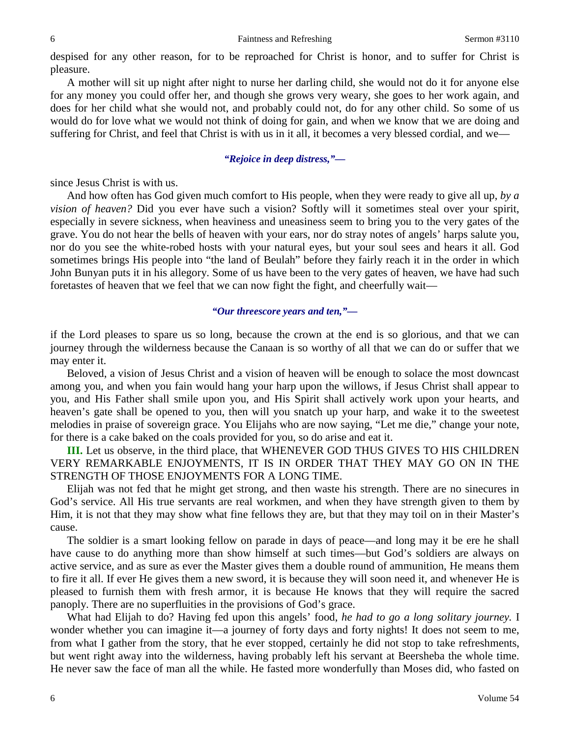despised for any other reason, for to be reproached for Christ is honor, and to suffer for Christ is pleasure.

A mother will sit up night after night to nurse her darling child, she would not do it for anyone else for any money you could offer her, and though she grows very weary, she goes to her work again, and does for her child what she would not, and probably could not, do for any other child. So some of us would do for love what we would not think of doing for gain, and when we know that we are doing and suffering for Christ, and feel that Christ is with us in it all, it becomes a very blessed cordial, and we—

# *"Rejoice in deep distress,"—*

since Jesus Christ is with us.

And how often has God given much comfort to His people, when they were ready to give all up, *by a vision of heaven?* Did you ever have such a vision? Softly will it sometimes steal over your spirit, especially in severe sickness, when heaviness and uneasiness seem to bring you to the very gates of the grave. You do not hear the bells of heaven with your ears, nor do stray notes of angels' harps salute you, nor do you see the white-robed hosts with your natural eyes, but your soul sees and hears it all. God sometimes brings His people into "the land of Beulah" before they fairly reach it in the order in which John Bunyan puts it in his allegory. Some of us have been to the very gates of heaven, we have had such foretastes of heaven that we feel that we can now fight the fight, and cheerfully wait—

### *"Our threescore years and ten,"—*

if the Lord pleases to spare us so long, because the crown at the end is so glorious, and that we can journey through the wilderness because the Canaan is so worthy of all that we can do or suffer that we may enter it.

Beloved, a vision of Jesus Christ and a vision of heaven will be enough to solace the most downcast among you, and when you fain would hang your harp upon the willows, if Jesus Christ shall appear to you, and His Father shall smile upon you, and His Spirit shall actively work upon your hearts, and heaven's gate shall be opened to you, then will you snatch up your harp, and wake it to the sweetest melodies in praise of sovereign grace. You Elijahs who are now saying, "Let me die," change your note, for there is a cake baked on the coals provided for you, so do arise and eat it.

**III.** Let us observe, in the third place, that WHENEVER GOD THUS GIVES TO HIS CHILDREN VERY REMARKABLE ENJOYMENTS, IT IS IN ORDER THAT THEY MAY GO ON IN THE STRENGTH OF THOSE ENJOYMENTS FOR A LONG TIME.

Elijah was not fed that he might get strong, and then waste his strength. There are no sinecures in God's service. All His true servants are real workmen, and when they have strength given to them by Him, it is not that they may show what fine fellows they are, but that they may toil on in their Master's cause.

The soldier is a smart looking fellow on parade in days of peace—and long may it be ere he shall have cause to do anything more than show himself at such times—but God's soldiers are always on active service, and as sure as ever the Master gives them a double round of ammunition, He means them to fire it all. If ever He gives them a new sword, it is because they will soon need it, and whenever He is pleased to furnish them with fresh armor, it is because He knows that they will require the sacred panoply. There are no superfluities in the provisions of God's grace.

What had Elijah to do? Having fed upon this angels' food, *he had to go a long solitary journey.* I wonder whether you can imagine it—a journey of forty days and forty nights! It does not seem to me, from what I gather from the story, that he ever stopped, certainly he did not stop to take refreshments, but went right away into the wilderness, having probably left his servant at Beersheba the whole time. He never saw the face of man all the while. He fasted more wonderfully than Moses did, who fasted on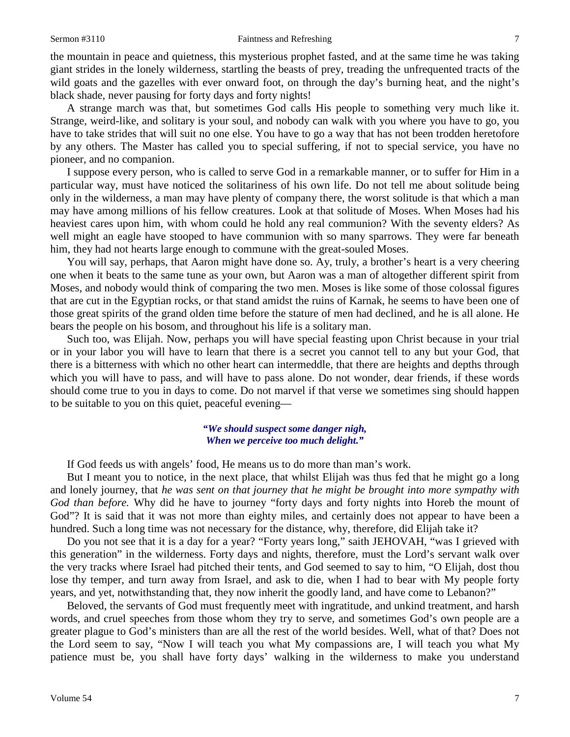the mountain in peace and quietness, this mysterious prophet fasted, and at the same time he was taking giant strides in the lonely wilderness, startling the beasts of prey, treading the unfrequented tracts of the wild goats and the gazelles with ever onward foot, on through the day's burning heat, and the night's black shade, never pausing for forty days and forty nights!

A strange march was that, but sometimes God calls His people to something very much like it. Strange, weird-like, and solitary is your soul, and nobody can walk with you where you have to go, you have to take strides that will suit no one else. You have to go a way that has not been trodden heretofore by any others. The Master has called you to special suffering, if not to special service, you have no pioneer, and no companion.

I suppose every person, who is called to serve God in a remarkable manner, or to suffer for Him in a particular way, must have noticed the solitariness of his own life. Do not tell me about solitude being only in the wilderness, a man may have plenty of company there, the worst solitude is that which a man may have among millions of his fellow creatures. Look at that solitude of Moses. When Moses had his heaviest cares upon him, with whom could he hold any real communion? With the seventy elders? As well might an eagle have stooped to have communion with so many sparrows. They were far beneath him, they had not hearts large enough to commune with the great-souled Moses.

You will say, perhaps, that Aaron might have done so. Ay, truly, a brother's heart is a very cheering one when it beats to the same tune as your own, but Aaron was a man of altogether different spirit from Moses, and nobody would think of comparing the two men. Moses is like some of those colossal figures that are cut in the Egyptian rocks, or that stand amidst the ruins of Karnak, he seems to have been one of those great spirits of the grand olden time before the stature of men had declined, and he is all alone. He bears the people on his bosom, and throughout his life is a solitary man.

Such too, was Elijah. Now, perhaps you will have special feasting upon Christ because in your trial or in your labor you will have to learn that there is a secret you cannot tell to any but your God, that there is a bitterness with which no other heart can intermeddle, that there are heights and depths through which you will have to pass, and will have to pass alone. Do not wonder, dear friends, if these words should come true to you in days to come. Do not marvel if that verse we sometimes sing should happen to be suitable to you on this quiet, peaceful evening—

#### *"We should suspect some danger nigh, When we perceive too much delight."*

If God feeds us with angels' food, He means us to do more than man's work.

But I meant you to notice, in the next place, that whilst Elijah was thus fed that he might go a long and lonely journey, that *he was sent on that journey that he might be brought into more sympathy with God than before.* Why did he have to journey "forty days and forty nights into Horeb the mount of God"? It is said that it was not more than eighty miles, and certainly does not appear to have been a hundred. Such a long time was not necessary for the distance, why, therefore, did Elijah take it?

Do you not see that it is a day for a year? "Forty years long," saith JEHOVAH, "was I grieved with this generation" in the wilderness. Forty days and nights, therefore, must the Lord's servant walk over the very tracks where Israel had pitched their tents, and God seemed to say to him, "O Elijah, dost thou lose thy temper, and turn away from Israel, and ask to die, when I had to bear with My people forty years, and yet, notwithstanding that, they now inherit the goodly land, and have come to Lebanon?"

Beloved, the servants of God must frequently meet with ingratitude, and unkind treatment, and harsh words, and cruel speeches from those whom they try to serve, and sometimes God's own people are a greater plague to God's ministers than are all the rest of the world besides. Well, what of that? Does not the Lord seem to say, "Now I will teach you what My compassions are, I will teach you what My patience must be, you shall have forty days' walking in the wilderness to make you understand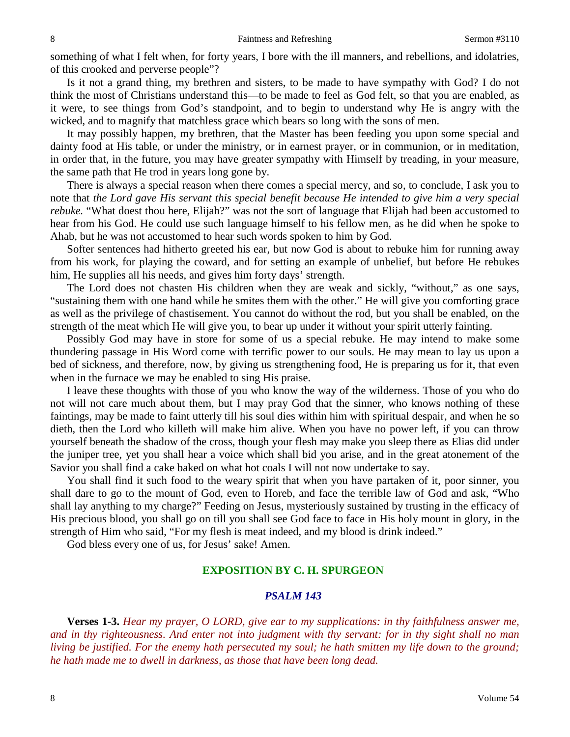something of what I felt when, for forty years, I bore with the ill manners, and rebellions, and idolatries, of this crooked and perverse people"?

Is it not a grand thing, my brethren and sisters, to be made to have sympathy with God? I do not think the most of Christians understand this—to be made to feel as God felt, so that you are enabled, as it were, to see things from God's standpoint, and to begin to understand why He is angry with the wicked, and to magnify that matchless grace which bears so long with the sons of men.

It may possibly happen, my brethren, that the Master has been feeding you upon some special and dainty food at His table, or under the ministry, or in earnest prayer, or in communion, or in meditation, in order that, in the future, you may have greater sympathy with Himself by treading, in your measure, the same path that He trod in years long gone by.

There is always a special reason when there comes a special mercy, and so, to conclude, I ask you to note that *the Lord gave His servant this special benefit because He intended to give him a very special rebuke.* "What doest thou here, Elijah?" was not the sort of language that Elijah had been accustomed to hear from his God. He could use such language himself to his fellow men, as he did when he spoke to Ahab, but he was not accustomed to hear such words spoken to him by God.

Softer sentences had hitherto greeted his ear, but now God is about to rebuke him for running away from his work, for playing the coward, and for setting an example of unbelief, but before He rebukes him, He supplies all his needs, and gives him forty days' strength.

The Lord does not chasten His children when they are weak and sickly, "without," as one says, "sustaining them with one hand while he smites them with the other." He will give you comforting grace as well as the privilege of chastisement. You cannot do without the rod, but you shall be enabled, on the strength of the meat which He will give you, to bear up under it without your spirit utterly fainting.

Possibly God may have in store for some of us a special rebuke. He may intend to make some thundering passage in His Word come with terrific power to our souls. He may mean to lay us upon a bed of sickness, and therefore, now, by giving us strengthening food, He is preparing us for it, that even when in the furnace we may be enabled to sing His praise.

I leave these thoughts with those of you who know the way of the wilderness. Those of you who do not will not care much about them, but I may pray God that the sinner, who knows nothing of these faintings, may be made to faint utterly till his soul dies within him with spiritual despair, and when he so dieth, then the Lord who killeth will make him alive. When you have no power left, if you can throw yourself beneath the shadow of the cross, though your flesh may make you sleep there as Elias did under the juniper tree, yet you shall hear a voice which shall bid you arise, and in the great atonement of the Savior you shall find a cake baked on what hot coals I will not now undertake to say.

You shall find it such food to the weary spirit that when you have partaken of it, poor sinner, you shall dare to go to the mount of God, even to Horeb, and face the terrible law of God and ask, "Who shall lay anything to my charge?" Feeding on Jesus, mysteriously sustained by trusting in the efficacy of His precious blood, you shall go on till you shall see God face to face in His holy mount in glory, in the strength of Him who said, "For my flesh is meat indeed, and my blood is drink indeed."

God bless every one of us, for Jesus' sake! Amen.

# **EXPOSITION BY C. H. SPURGEON**

### *PSALM 143*

**Verses 1-3.** *Hear my prayer, O LORD, give ear to my supplications: in thy faithfulness answer me, and in thy righteousness. And enter not into judgment with thy servant: for in thy sight shall no man living be justified. For the enemy hath persecuted my soul; he hath smitten my life down to the ground; he hath made me to dwell in darkness, as those that have been long dead.*